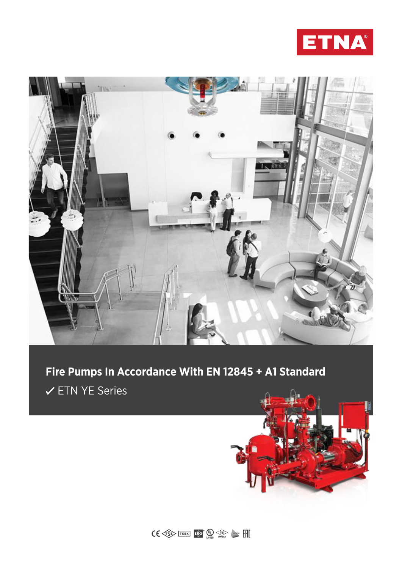



# **Fire Pumps In Accordance With EN 12845 + A1 Standard ∕ETN YE Series**



 $\textbf{CC} \leftarrow \textbf{C} \leftarrow \textbf{C} \leftarrow \textbf{C} \leftarrow \textbf{C} \leftarrow \textbf{C} \leftarrow \textbf{C} \leftarrow \textbf{C} \leftarrow \textbf{C} \leftarrow \textbf{C} \leftarrow \textbf{C} \leftarrow \textbf{C} \leftarrow \textbf{C} \leftarrow \textbf{C} \leftarrow \textbf{C} \leftarrow \textbf{C} \leftarrow \textbf{C} \leftarrow \textbf{C} \leftarrow \textbf{C} \leftarrow \textbf{C} \leftarrow \textbf{C} \leftarrow \textbf{C} \leftarrow \textbf{C} \leftarrow \textbf{C} \leftarrow \textbf{$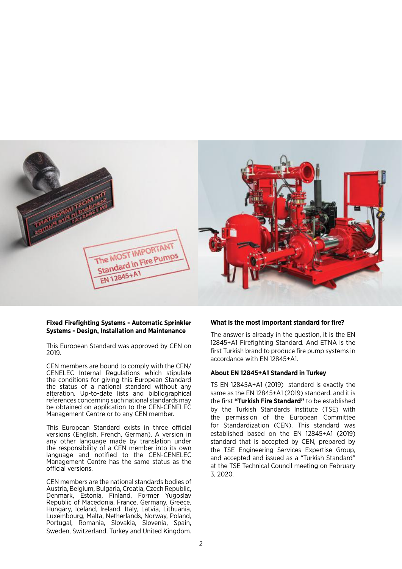

## **Fixed Firefighting Systems - Automatic Sprinkler Systems - Design, Installation and Maintenance**

This European Standard was approved by CEN on 2019.

CEN members are bound to comply with the CEN/ CENELEC Internal Regulations which stipulate the conditions for giving this European Standard the status of a national standard without any alteration. Up-to-date lists and bibliographical references concerning such national standards may be obtained on application to the CEN-CENELEC Management Centre or to any CEN member.

This European Standard exists in three official versions (English, French, German). A version in any other language made by translation under the responsibility of a CEN member into its own language and notified to the CEN-CENELEC Management Centre has the same status as the official versions.

CEN members are the national standards bodies of Austria, Belgium, Bulgaria, Croatia, Czech Republic, Denmark, Estonia, Finland, Former Yugoslav Republic of Macedonia, France, Germany, Greece, Hungary, Iceland, Ireland, Italy, Latvia, Lithuania, Luxembourg, Malta, Netherlands, Norway, Poland, Portugal, Romania, Slovakia, Slovenia, Spain, Sweden, Switzerland, Turkey and United Kingdom.

#### **What is the most important standard for fire?**

The answer is already in the question, it is the EN 12845+A1 Firefighting Standard. And ETNA is the first Turkish brand to produce fire pump systems in accordance with EN 12845+A1.

#### **About EN 12845+A1 Standard in Turkey**

TS EN 12845A+A1 (2019) standard is exactly the same as the EN 12845+A1 (2019) standard, and it is the first **"Turkish Fire Standard"** to be established by the Turkish Standards Institute (TSE) with the permission of the European Committee for Standardization (CEN). This standard was established based on the EN 12845+A1 (2019) standard that is accepted by CEN, prepared by the TSE Engineering Services Expertise Group, and accepted and issued as a "Turkish Standard" at the TSE Technical Council meeting on February 3, 2020.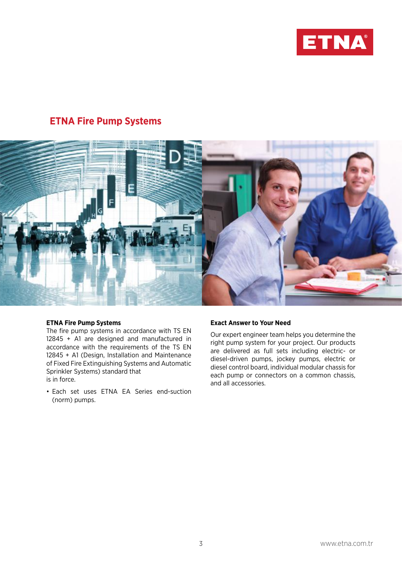

## **ETNA Fire Pump Systems**



### **ETNA Fire Pump Systems**

The fire pump systems in accordance with TS EN 12845 + A1 are designed and manufactured in accordance with the requirements of the TS EN 12845 + A1 (Design, Installation and Maintenance of Fixed Fire Extinguishing Systems and Automatic Sprinkler Systems) standard that is in force.

• Each set uses ETNA EA Series end-suction (norm) pumps.

### **Exact Answer to Your Need**

Our expert engineer team helps you determine the right pump system for your project. Our products are delivered as full sets including electric- or diesel-driven pumps, jockey pumps, electric or diesel control board, individual modular chassis for each pump or connectors on a common chassis, and all accessories.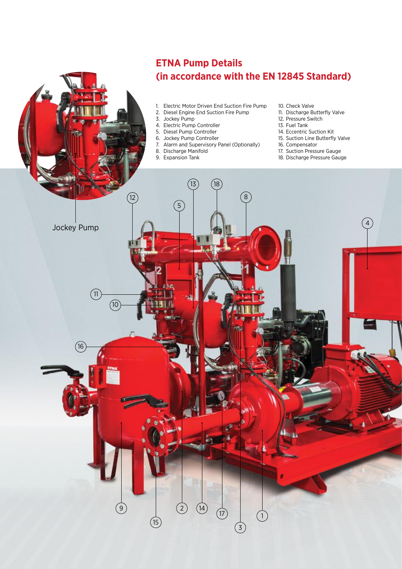## **ETNA Pump Details (in accordance with the EN 12845 Standard)**

- 1. Electric Motor Driven End Suction Fire Pump
- 2. Diesel Engine End Suction Fire Pump
- 3. Jockey Pump
- 4. Electric Pump Controller
- 5. Diesel Pump Controller
- 6. Jockey Pump Controller
- 7. Alarm and Supervisory Panel (Optionally)
- 8. Discharge Manifold
- 9. Expansion Tank
- 10. Check Valve
- 11. Discharge Butterfly Valve
- 12. Pressure Switch
- 13. Fuel Tank
- 14. Eccentric Suction Kit
- 15. Suction Line Butterfly Valve
- 16. Compensator
- 17. Suction Pressure Gauge
- 18. Discharge Pressure Gauge

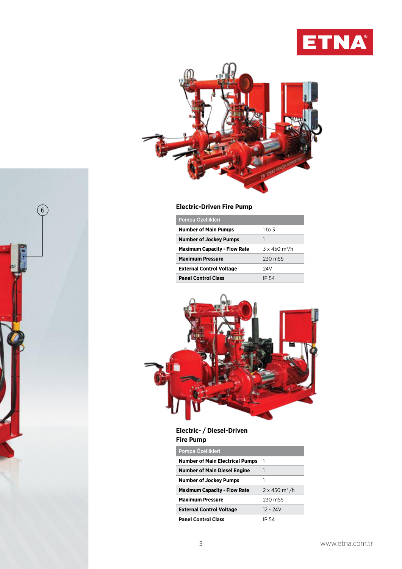



| Pompa Özellikleri                   |                                  |
|-------------------------------------|----------------------------------|
| <b>Number of Main Pumps</b>         | 1 to 3                           |
| <b>Number of Jockey Pumps</b>       | 1                                |
| <b>Maximum Capacity - Flow Rate</b> | $3 \times 450$ m <sup>3</sup> /h |
| <b>Maximum Pressure</b>             | 230 mSS                          |
| <b>External Control Voltage</b>     | 24V                              |
| <b>Panel Control Class</b>          | IP 54                            |



## **Electric- / Diesel-Driven Fire Pump**

| Pompa Özellikleri                      |                                  |
|----------------------------------------|----------------------------------|
| <b>Number of Main Electrical Pumps</b> | 1                                |
| <b>Number of Main Diesel Engine</b>    | 1                                |
| <b>Number of Jockey Pumps</b>          | 1                                |
| <b>Maximum Capacity - Flow Rate</b>    | $2 \times 450$ m <sup>3</sup> /h |
| <b>Maximum Pressure</b>                | 230 mSS                          |
| <b>External Control Voltage</b>        | $12 - 24V$                       |
| <b>Panel Control Class</b>             | IP 54                            |

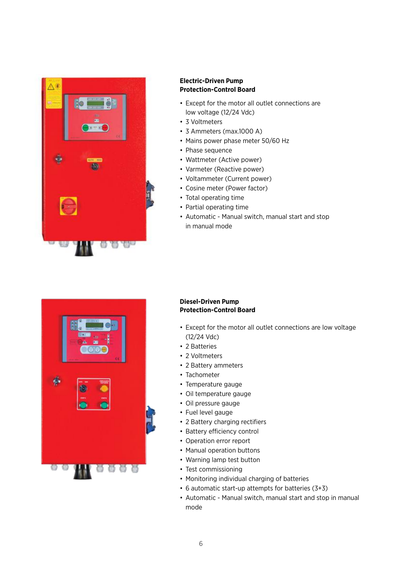

## **Electric-Driven Pump Protection-Control Board**

- Except for the motor all outlet connections are low voltage (12/24 Vdc)
- 3 Voltmeters
- 3 Ammeters (max.1000 A)
- Mains power phase meter 50/60 Hz
- Phase sequence
- Wattmeter (Active power)
- Varmeter (Reactive power)
- Voltammeter (Current power)
- Cosine meter (Power factor)
- Total operating time
- Partial operating time
- Automatic Manual switch, manual start and stop in manual mode



## **Diesel-Driven Pump Protection-Control Board**

- Except for the motor all outlet connections are low voltage (12/24 Vdc)
- 2 Batteries
- 2 Voltmeters
- 2 Battery ammeters
- Tachometer
- Temperature gauge
- Oil temperature gauge
- Oil pressure gauge
- Fuel level gauge
- 2 Battery charging rectifiers
- Battery efficiency control
- Operation error report
- Manual operation buttons
- Warning lamp test button
- Test commissioning
- Monitoring individual charging of batteries
- 6 automatic start-up attempts for batteries (3+3)
- Automatic Manual switch, manual start and stop in manual mode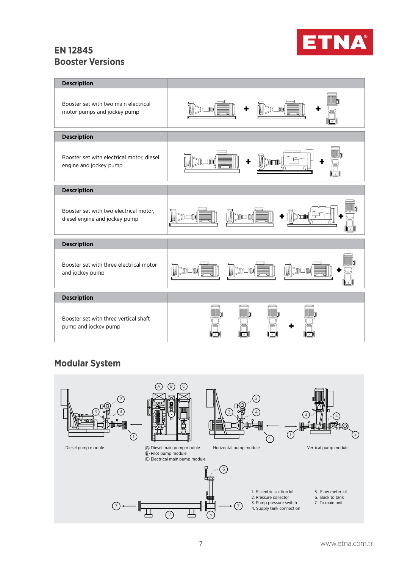## **EN 12845 Booster Versions**



| <b>Description</b>                                                      |                                  |
|-------------------------------------------------------------------------|----------------------------------|
| Booster set with two main electrical<br>motor pumps and jockey pump     | n an Tinggal ay na kaominin<br>廿 |
| <b>Description</b>                                                      |                                  |
| Booster set with electrical motor, diesel<br>engine and jockey pump     | ÷                                |
| <b>Description</b>                                                      |                                  |
| Booster set with two electrical motor,<br>diesel engine and jockey pump | ٠                                |
| <b>Description</b>                                                      |                                  |
| Booster set with three electrical motor<br>and jockey pump              | n an Tillia<br>in Tiid           |
| <b>Description</b>                                                      |                                  |
| Booster set with three vertical shaft<br>pump and jockey pump           |                                  |

## **Modular System**